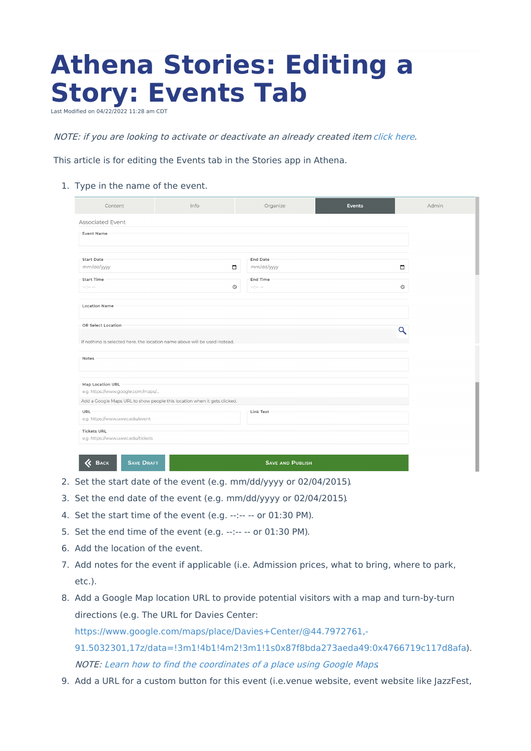## **Athena Stories: Editing a Story: Events Tab**

Last Modified on 04/22/2022 11:28 am CDT

NOTE: if you are looking to activate or deactivate an already created item [click](https://kb.uwec.edu/help/athena-universal-activate-and-deactivate) here.

This article is for editing the Events tab in the Stories app in Athena.

1. Type in the name of the event.

| Content                                                                                                                                                                                                                              | Info                                                                     |         | Organize                                                                                                                                                                                                                            |  | <b>Events</b> |            | Admin |
|--------------------------------------------------------------------------------------------------------------------------------------------------------------------------------------------------------------------------------------|--------------------------------------------------------------------------|---------|-------------------------------------------------------------------------------------------------------------------------------------------------------------------------------------------------------------------------------------|--|---------------|------------|-------|
| Associated Event                                                                                                                                                                                                                     |                                                                          |         |                                                                                                                                                                                                                                     |  |               |            |       |
| <b>Event Name</b>                                                                                                                                                                                                                    |                                                                          |         |                                                                                                                                                                                                                                     |  |               |            |       |
|                                                                                                                                                                                                                                      |                                                                          |         |                                                                                                                                                                                                                                     |  |               |            |       |
| <b>Start Date</b><br>mm/dd/yyyy                                                                                                                                                                                                      |                                                                          | $\Box$  | End Date<br>mm/dd/yyyy                                                                                                                                                                                                              |  |               | $\Box$     |       |
| <b>Start Time</b>                                                                                                                                                                                                                    |                                                                          |         | End Time                                                                                                                                                                                                                            |  |               |            |       |
| $\label{eq:2.1} \begin{array}{lll} \hspace{-0.15cm} \cdots \hspace{-0.15cm} \end{array} \hspace{-0.2cm} \begin{array}{lll} \hspace{-0.15cm} \cdots \hspace{-0.15cm} \end{array} \hspace{-0.2cm} \cdots \hspace{-0.15cm} \end{array}$ |                                                                          | $\odot$ | $\label{eq:2.1} \begin{array}{lll} \hspace{-0.15cm} \cdots \hspace{-0.15cm} \end{array} \hspace{-0.2cm} \begin{array}{lll} \hspace{-0.15cm} \cdots \hspace{-0.15cm} \end{array} \hspace{-0.2cm} \cdots \hspace{-0.2cm} \end{array}$ |  |               | $_{\odot}$ |       |
| <b>Location Name</b>                                                                                                                                                                                                                 |                                                                          |         |                                                                                                                                                                                                                                     |  |               |            |       |
|                                                                                                                                                                                                                                      |                                                                          |         |                                                                                                                                                                                                                                     |  |               |            |       |
| OR Select Location                                                                                                                                                                                                                   |                                                                          |         |                                                                                                                                                                                                                                     |  |               | Q          |       |
| If nothing is selected here, the location name above will be used instead.                                                                                                                                                           |                                                                          |         |                                                                                                                                                                                                                                     |  |               |            |       |
| Notes                                                                                                                                                                                                                                |                                                                          |         |                                                                                                                                                                                                                                     |  |               |            |       |
|                                                                                                                                                                                                                                      |                                                                          |         |                                                                                                                                                                                                                                     |  |               |            |       |
| Map Location URL                                                                                                                                                                                                                     |                                                                          |         |                                                                                                                                                                                                                                     |  |               |            |       |
| e.g. https://www.google.com/maps/                                                                                                                                                                                                    |                                                                          |         |                                                                                                                                                                                                                                     |  |               |            |       |
|                                                                                                                                                                                                                                      | Add a Google Maps URL to show people this location when it gets clicked. |         |                                                                                                                                                                                                                                     |  |               |            |       |
| URL<br>e.g. https://www.uwec.edu/event                                                                                                                                                                                               |                                                                          |         | Link Text                                                                                                                                                                                                                           |  |               |            |       |
| <b>Tickets URL</b><br>e.g. https://www.uwec.edu/tickets                                                                                                                                                                              |                                                                          |         |                                                                                                                                                                                                                                     |  |               |            |       |
|                                                                                                                                                                                                                                      |                                                                          |         |                                                                                                                                                                                                                                     |  |               |            |       |
| 《<br><b>SAVE DRAFT</b><br><b>SAVE AND PUBLISH</b><br><b>BACK</b>                                                                                                                                                                     |                                                                          |         |                                                                                                                                                                                                                                     |  |               |            |       |

- 2. Set the start date of the event (e.g. mm/dd/yyyy or 02/04/2015).
- 3. Set the end date of the event (e.g. mm/dd/yyyy or 02/04/2015).
- 4. Set the start time of the event (e.g. --:-- -- or 01:30 PM).
- 5. Set the end time of the event (e.g.  $-:- -$  or 01:30 PM).
- 6. Add the location of the event.
- 7. Add notes for the event if applicable (i.e. Admission prices, what to bring, where to park, etc.).
- 8. Add a Google Map location URL to provide potential visitors with a map and turn-by-turn directions (e.g. The URL for Davies Center: https://www.google.com/maps/place/Davies+Center/@44.7972761,- [91.5032301,17z/data=!3m1!4b1!4m2!3m1!1s0x87f8bda273aeda49:0x4766719c117d8afa](https://www.google.com/maps/place/Davies+Center/@44.7972761,-91.5032301,17z/data=!3m1!4b1!4m2!3m1!1s0x87f8bda273aeda49:0x4766719c117d8afa)). NOTE: Learn how to find the [coordinates](https://support.google.com/maps/answer/18539) of <sup>a</sup> place using Google Maps.
- 9. Add a URL for a custom button for this event (i.e.venue website, event website like JazzFest,